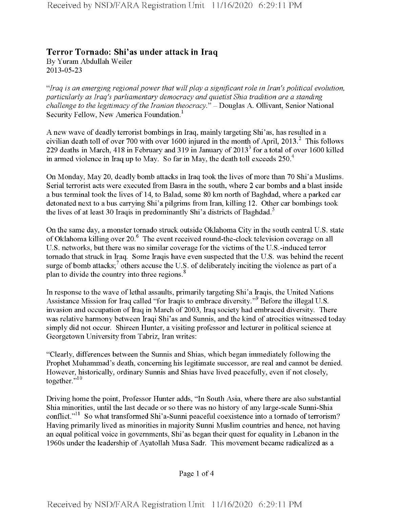## **Terror Tornado: Shi'as under attack in Iraq** By Yuram Abdullah Weiler 2013-05-23

*"Iraq is an emerging regionalpower that willplay a significant role in Iran's political evolution, particularly as Iraq's parliamentary democracy and quietist Shia tradition are a standing challenge to the legitimacy ofthe Iranian theocracy*." - Douglas A. Ollivant, Senior National Security Fellow, New America Foundation.<sup>1</sup>

A new wave of deadly terrorist bombings in Iraq, mainly targeting Shi'as, has resulted in a civilian death toll of over 700 with over 1600 injured in the month of April, 2013.<sup>2</sup> This follows 229 deaths in March, 418 in February and 319 in January of 20133 for atotal of over 1600 killed in armed violence in Iraq up to May. So far in May, the death toll exceeds  $250<sup>4</sup>$ 

On Monday, May 20, deadly bomb attacks in Iraq took the lives of more than 70 Shi'a Muslims. Serial terrorist acts were executed from Basra in the south, where 2 car bombs and a blast inside a bus terminal took the lives of 14, to Balad, some 80 km north of Baghdad, where a parked car detonated next to a bus carrying Shi'a pilgrims from Iran, killing 12. Other car bombings took the lives of at least 30 Iraqis in predominantly Shi'a districts of Baghdad.<sup>5</sup>

On the same day, a monster tornado struck outside Oklahoma City in the south central U.S. state of Oklahoma killing over 20.<sup>6</sup> The event received round-the-clock television coverage on all U.S. networks, but there was no similar coverage for the victims of the U.S.-induced terror tornado that struck in Iraq. Some Iraqis have even suspected that the U.S. was behind the recent surge of bomb attacks;<sup>7</sup> others accuse the U.S. of deliberately inciting the violence as part of a plan to divide the country into three regions.<sup>8</sup>

In response to the wave of lethal assaults, primarily targeting Shi'a Iraqis, the United Nations Assistance Mission for Iraq called "for Iraqis to embrace diversity."9 Before the illegal U.S. invasion and occupation of Iraq in March of 2003, Iraq society had embraced diversity. There was relative harmony between Iraqi Shi'as and Sunnis, and the kind of atrocities witnessed today simply did not occur. Shireen Hunter, a visiting professor and lecturer in political science at Georgetown University from Tabriz, Iran writes:

"Clearly, differences between the Sunnis and Shias, which began immediately following the Prophet Muhammad's death, concerning his legitimate successor, are real and cannot be denied. However, historically, ordinary Sunnis and Shias have lived peacefully, even if not closely, together."<sup>10</sup>

Driving home the point, Professor Hunter adds, "In South Asia, where there are also substantial Shia minorities, until the last decade or so there was no history of any large-scale Sunni-Shia conflict."<sup>11</sup> So what transformed Shi'a-Sunni peaceful coexistence into a tornado of terrorism? Having primarily lived as minorities in majority Sunni Muslim countries and hence, not having an equal political voice in governments, Shi'as began their quest for equality in Lebanon in the 1960s under the leadership of Ayatollah Musa Sadr. This movement became radicalized as a

Page <sup>1</sup> of 4

Received by NSD/FARA Registration Unit 11/16/2020 6:29:11 PM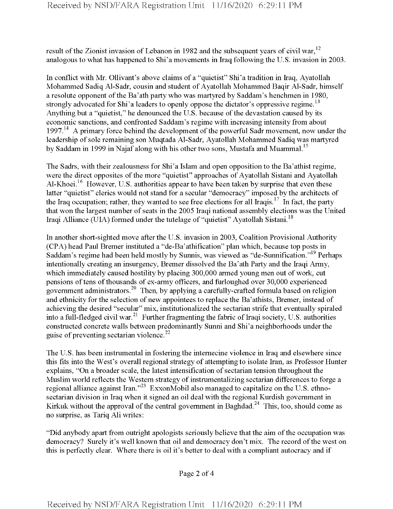result of the Zionist invasion of Lebanon in 1982 and the subsequent years of civil war,<sup>12</sup> analogous to what has happened to Shi'a movements in Iraq following the U.S. invasion in 2003.

In conflict with Mr. Ollivant's above claims of a "quietist" Shi'a tradition in Iraq, Ayatollah Mohammed Sadiq Al-Sadr, cousin and student of Ayatollah Mohammed Baqir Al-Sadr, himself a resolute opponent of the Ba'ath party who was martyred by Saddam's henchmen in 1980, strongly advocated for Shi'a leaders to openly oppose the dictator's oppressive regime.<sup>13</sup> Anything but a "quietist," he denounced the U.S. because of the devastation caused by its economic sanctions, and confronted Saddam's regime with increasing intensity from about  $1997<sup>14</sup>$  A primary force behind the development of the powerful Sadr movement, now under the leadership of sole remaining son Muqtada Al-Sadr, Ayatollah Mohammed Sadiq was martyred by Saddam in 1999 in Najaf along with his other two sons, Mustafa and Muammal.<sup>15</sup>

The Sadrs, with their zealousness for Shi'a Islam and open opposition to the Ba'athist regime, were the direct opposites of the more "quietist" approaches of Ayatollah Sistani and Ayatollah Al-Khoei.<sup>16</sup> However, U.S. authorities appear to have been taken by surprise that even these latter "quietist" clerics would not stand for a secular "democracy" imposed by the architects of the Iraq occupation; rather, they wanted to see free elections for all Iraqis.<sup>17</sup> In fact, the party that won the largest number of seats in the 2005 Iraqi national assembly elections was the United Iraqi Alliance (UIA) formed under the tutelage of "quietist" Ayatollah Sistani.<sup>18</sup>

In another short-sighted move after the U.S. invasion in 2003, Coalition Provisional Authority (CPA) head Paul Bremer instituted a "de-Ba'athification" plan which, because top posts in Saddam's regime had been held mostly by Sunnis, was viewed as "de-Sunnification."19 Perhaps intentionally creating an insurgency, Bremer dissolved the Ba'ath Party and the Iraqi Army, which immediately caused hostility by placing 300,000 armed young men out of work, cut pensions of tens of thousands of ex-army officers, and furloughed over 30,000 experienced government administrators.<sup>20</sup> Then, by applying a carefully-crafted formula based on religion and ethnicity for the selection of new appointees to replace the Ba'athists, Bremer, instead of achieving the desired "secular" mix, institutionalized the sectarian strife that eventually spiraled into a full-fledged civil war.<sup>21</sup> Further fragmenting the fabric of Iraqi society, U.S. authorities constructed concrete walls between predominantly Sunni and Shi'a neighborhoods under the guise of preventing sectarian violence.<sup>22</sup>

The U.S. has been instrumental in fostering the internecine violence in Iraq and elsewhere since this fits into the West's overall regional strategy of attempting to isolate Iran, as Professor Hunter explains, "On a broader scale, the latest intensification of sectarian tension throughout the Muslim world reflects the Western strategy of instrumentalizing sectarian differences to forge a regional alliance against Iran."<sup>23</sup> ExxonMobil also managed to capitalize on the U.S. ethnosectarian division in Iraq when it signed an oil deal with the regional Kurdish government in Kirkuk without the approval of the central government in Baghdad.<sup>24</sup> This, too, should come as no surprise, as Tariq Ali writes:

"Did anybody apart from outright apologists seriously believe that the aim ofthe occupation was democracy? Surely it's well known that oil and democracy don't mix. The record of the west on this is perfectly clear. Where there is oil it's better to deal with a compliant autocracy and if

Page 2 of 4

Received by NSD/FARA Registration Unit 11/16/2020 6:29:11 PM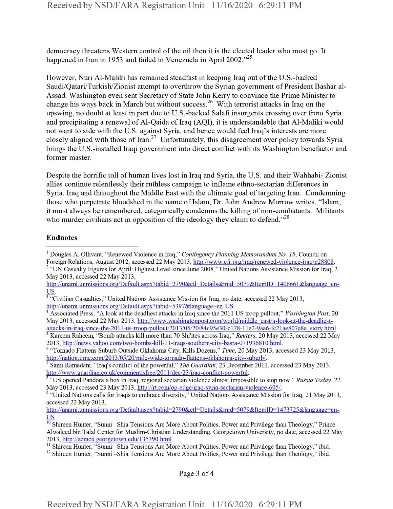democracy threatens Western control of the oil then it is the elected leader who must go. It happened in Iran in 1953 and failed in Venezuela in April 2002."<sup>25</sup>

However, Nuri Al-Maliki has remained steadfast in keeping Iraq out of the U.S.-backed Saudi/Qatari/Turkish/Zionist attempt to overthrow the Syrian government of President Bashar al-Assad. Washington even sent Secretary of State John Kerry to convince the Prime Minister to change his ways back in March but without success.<sup>26</sup> With terrorist attacks in Iraq on the upswing, no doubt at least in part due to U.S.-backed Salafi insurgents crossing over from Syria and precipitating a renewal of Al-Qaida of Iraq (AQI), it is understandable that Al-Maliki would not want to side with the U.S. against Syria, and hence would feel Iraq's interests are more closely aligned with those of Iran.<sup>27</sup> Unfortunately, this disagreement over policy towards Syria brings the U.S.-installed Iraqi government into direct conflict with its Washington benefactor and former master.

Despite the horrific toll of human lives lost in Iraq and Syria, the U.S. and their Wahhabi- Zionist allies continue relentlessly their ruthless campaign to inflame ethno-sectarian differences in Syria, Iraq and throughout the Middle East with the ultimate goal of targeting Iran. Condemning those who perpetrate bloodshed in the name of Islam, Dr. John Andrew Morrow writes, "Islam, it must always be remembered, categorically condemns the killing of non-combatants. Militants who murder civilians act in opposition of the ideology they claim to defend.<sup>228</sup>

## Endnotes

Page 3 of 4

<sup>1</sup> Douglas A. Ollivant, "Renewed Violence in Iraq," *Contingency Planning Memorandum No. 15,* Council on Foreign Relations, August 2012, accessed 22 May 2013, http://www.cfr.org/iraq/renewed-violence-iraq/p28808. <sup>2</sup> "UN Casualty Figures for April: Highest Level since June 2008," United Nations Assistance Mission for Iraq, 2 May 2013, accessed 22 May 2013,

http://unami.unmissions.org/Default.aspx?tabid=2790&ctl=Details&mid=5079&ItemID= 140666 l&language=en-US.

<sup>&</sup>lt;sup>3</sup> "Civilian Casualties," United Nations Assistance Mission for Iraq, no date, accessed 22 May 2013, http://unami.unmissions.org/Default.aspx?tabid=5397&language=en-US.

<sup>4</sup> Associated Press, "A look atthe deadliest attacks in Iraq since the 2011 US troop pullout," *Washington Post,* 20 May 2013, accessed 22 May 2013, http://www.washingtonpost.com/world/middle east/a-look-at-the-deadliestattacks-in-iraq-since-the-2011 -us-troop-pullout/2013/05/20/84c95e30-c 178-11 e2-9aa6-fc2Iae807a8a story.html.

<sup>5</sup> Kareem Raheem, "Bomb attacks kill more than 70 Shi'ites across Iraq," *Reuters,* 20 May 2013, accessed 22 May 2013, http://news.yahoo.com/two-bombs-kill-11-iraqs-southern-city-basra-071936810.html.

<sup>6</sup> "Tornado Flattens Suburb Outside Oklahoma City, Kills Dozens," *Time,* 20 May 2013, accessed 23 May 2013, http://nation.time.com/2013/05/20/mile-wide-tornado-flattens-oklahoma-citv-suburb/.

<sup>7</sup> Sami Ramadam, "Iraq's conflict ofthe powerful," *The Guardian,* 23 December 2011, accessed 23 May 2013, http://www. guardian.co.uk/commentisfree/201 l/dec/23/iraq-conflict-powerful.

<sup>s</sup> "US opened Pandora's box in Iraq, regional sectarian violence almost impossible to stop now," *Russia Today, 22* May 2013, accessed 23 May 2013, http://rt.com/op-edge/iraq-svria-sectarian-violence-605/.

<sup>&</sup>lt;sup>9</sup> "United Nations calls for Iraqis to embrace diversity," United Nations Assistance Mission for Iraq, 21 May 2013, accessed 22 May 2013,

http://unami.unmissions.org/Default.aspx?tabid=2790&ctl=Details&mid=5079&ItemID=1473725&language=en-

US.<br><sup>10</sup> Shireen Hunter, "Sunni–Shia Tensions Are More About Politics, Power and Privilege than Theology," Prince Alwaleed bin Talal Center for Muslim-Christian Understanding, Georgetown University, no date, accessed 22 May 2013, http://acmcu.georgetown.edu/135390.html.

<sup>&</sup>lt;sup>11</sup> Shireen Hunter, "Sunni -Shia Tensions Are More About Politics, Power and Privilege than Theology," ibid.

<sup>&</sup>lt;sup>12</sup> Shireen Hunter, "Sunni -Shia Tensions Are More About Politics, Power and Privilege than Theology," ibid.